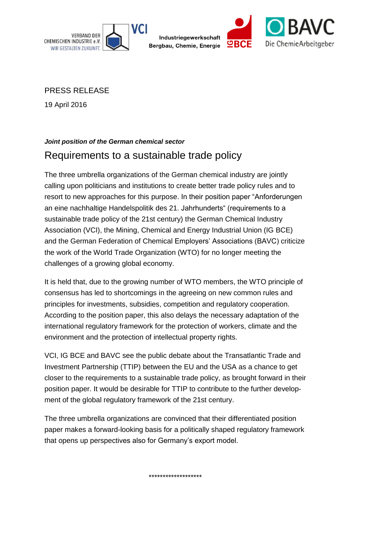

Industriegewerkschaft Bergbau, Chemie, Energie



PRESS RELEASE

19 April 2016

## *Joint position of the German chemical sector* Requirements to a sustainable trade policy

The three umbrella organizations of the German chemical industry are jointly calling upon politicians and institutions to create better trade policy rules and to resort to new approaches for this purpose. In their position paper "Anforderungen an eine nachhaltige Handelspolitik des 21. Jahrhunderts" (requirements to a sustainable trade policy of the 21st century) the German Chemical Industry Association (VCI), the Mining, Chemical and Energy Industrial Union (IG BCE) and the German Federation of Chemical Employers' Associations (BAVC) criticize the work of the World Trade Organization (WTO) for no longer meeting the challenges of a growing global economy.

It is held that, due to the growing number of WTO members, the WTO principle of consensus has led to shortcomings in the agreeing on new common rules and principles for investments, subsidies, competition and regulatory cooperation. According to the position paper, this also delays the necessary adaptation of the international regulatory framework for the protection of workers, climate and the environment and the protection of intellectual property rights.

VCI, IG BCE and BAVC see the public debate about the Transatlantic Trade and Investment Partnership (TTIP) between the EU and the USA as a chance to get closer to the requirements to a sustainable trade policy, as brought forward in their position paper. It would be desirable for TTIP to contribute to the further development of the global regulatory framework of the 21st century.

The three umbrella organizations are convinced that their differentiated position paper makes a forward-looking basis for a politically shaped regulatory framework that opens up perspectives also for Germany's export model.

\*\*\*\*\*\*\*\*\*\*\*\*\*\*\*\*\*\*\*